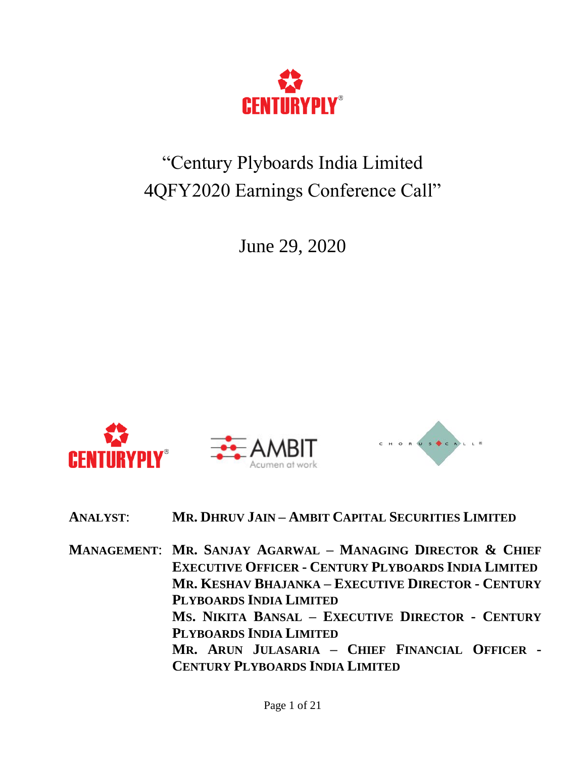

# "Century Plyboards India Limited 4QFY2020 Earnings Conference Call"

June 29, 2020



**ANALYST**: **MR. DHRUV JAIN – AMBIT CAPITAL SECURITIES LIMITED**

**MANAGEMENT**: **MR. SANJAY AGARWAL – MANAGING DIRECTOR & CHIEF EXECUTIVE OFFICER - CENTURY PLYBOARDS INDIA LIMITED MR. KESHAV BHAJANKA – EXECUTIVE DIRECTOR - CENTURY PLYBOARDS INDIA LIMITED MS. NIKITA BANSAL – EXECUTIVE DIRECTOR - CENTURY PLYBOARDS INDIA LIMITED MR. ARUN JULASARIA – CHIEF FINANCIAL OFFICER - CENTURY PLYBOARDS INDIA LIMITED**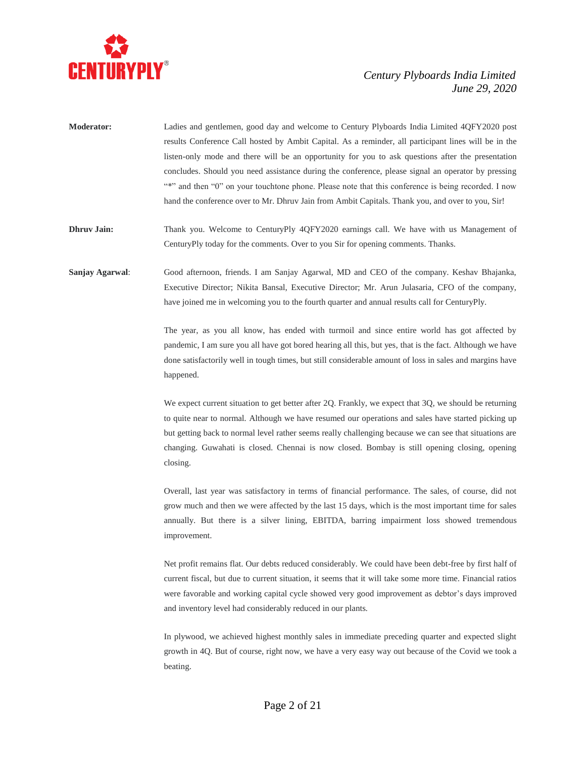

| <b>Moderator:</b> | Ladies and gentlemen, good day and welcome to Century Plyboards India Limited 4QFY2020 post          |
|-------------------|------------------------------------------------------------------------------------------------------|
|                   | results Conference Call hosted by Ambit Capital. As a reminder, all participant lines will be in the |
|                   | listen-only mode and there will be an opportunity for you to ask questions after the presentation    |
|                   | concludes. Should you need assistance during the conference, please signal an operator by pressing   |
|                   | "*" and then "0" on your touchtone phone. Please note that this conference is being recorded. I now  |
|                   | hand the conference over to Mr. Dhruv Jain from Ambit Capitals. Thank you, and over to you, Sir!     |
|                   |                                                                                                      |

**Dhruv Jain:** Thank you. Welcome to CenturyPly 4QFY2020 earnings call. We have with us Management of CenturyPly today for the comments. Over to you Sir for opening comments. Thanks.

**Sanjay Agarwal**: Good afternoon, friends. I am Sanjay Agarwal, MD and CEO of the company. Keshav Bhajanka, Executive Director; Nikita Bansal, Executive Director; Mr. Arun Julasaria, CFO of the company, have joined me in welcoming you to the fourth quarter and annual results call for CenturyPly.

> The year, as you all know, has ended with turmoil and since entire world has got affected by pandemic, I am sure you all have got bored hearing all this, but yes, that is the fact. Although we have done satisfactorily well in tough times, but still considerable amount of loss in sales and margins have happened.

> We expect current situation to get better after 2Q. Frankly, we expect that 3Q, we should be returning to quite near to normal. Although we have resumed our operations and sales have started picking up but getting back to normal level rather seems really challenging because we can see that situations are changing. Guwahati is closed. Chennai is now closed. Bombay is still opening closing, opening closing.

> Overall, last year was satisfactory in terms of financial performance. The sales, of course, did not grow much and then we were affected by the last 15 days, which is the most important time for sales annually. But there is a silver lining, EBITDA, barring impairment loss showed tremendous improvement.

> Net profit remains flat. Our debts reduced considerably. We could have been debt-free by first half of current fiscal, but due to current situation, it seems that it will take some more time. Financial ratios were favorable and working capital cycle showed very good improvement as debtor's days improved and inventory level had considerably reduced in our plants.

> In plywood, we achieved highest monthly sales in immediate preceding quarter and expected slight growth in 4Q. But of course, right now, we have a very easy way out because of the Covid we took a beating.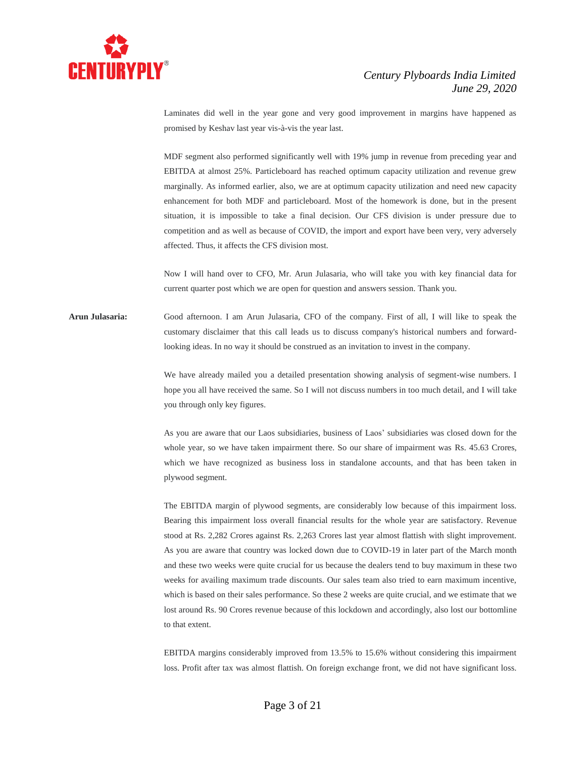

Laminates did well in the year gone and very good improvement in margins have happened as promised by Keshav last year vis-à-vis the year last.

MDF segment also performed significantly well with 19% jump in revenue from preceding year and EBITDA at almost 25%. Particleboard has reached optimum capacity utilization and revenue grew marginally. As informed earlier, also, we are at optimum capacity utilization and need new capacity enhancement for both MDF and particleboard. Most of the homework is done, but in the present situation, it is impossible to take a final decision. Our CFS division is under pressure due to competition and as well as because of COVID, the import and export have been very, very adversely affected. Thus, it affects the CFS division most.

Now I will hand over to CFO, Mr. Arun Julasaria, who will take you with key financial data for current quarter post which we are open for question and answers session. Thank you.

**Arun Julasaria:** Good afternoon. I am Arun Julasaria, CFO of the company. First of all, I will like to speak the customary disclaimer that this call leads us to discuss company's historical numbers and forwardlooking ideas. In no way it should be construed as an invitation to invest in the company.

> We have already mailed you a detailed presentation showing analysis of segment-wise numbers. I hope you all have received the same. So I will not discuss numbers in too much detail, and I will take you through only key figures.

> As you are aware that our Laos subsidiaries, business of Laos' subsidiaries was closed down for the whole year, so we have taken impairment there. So our share of impairment was Rs. 45.63 Crores, which we have recognized as business loss in standalone accounts, and that has been taken in plywood segment.

> The EBITDA margin of plywood segments, are considerably low because of this impairment loss. Bearing this impairment loss overall financial results for the whole year are satisfactory. Revenue stood at Rs. 2,282 Crores against Rs. 2,263 Crores last year almost flattish with slight improvement. As you are aware that country was locked down due to COVID-19 in later part of the March month and these two weeks were quite crucial for us because the dealers tend to buy maximum in these two weeks for availing maximum trade discounts. Our sales team also tried to earn maximum incentive, which is based on their sales performance. So these 2 weeks are quite crucial, and we estimate that we lost around Rs. 90 Crores revenue because of this lockdown and accordingly, also lost our bottomline to that extent.

> EBITDA margins considerably improved from 13.5% to 15.6% without considering this impairment loss. Profit after tax was almost flattish. On foreign exchange front, we did not have significant loss.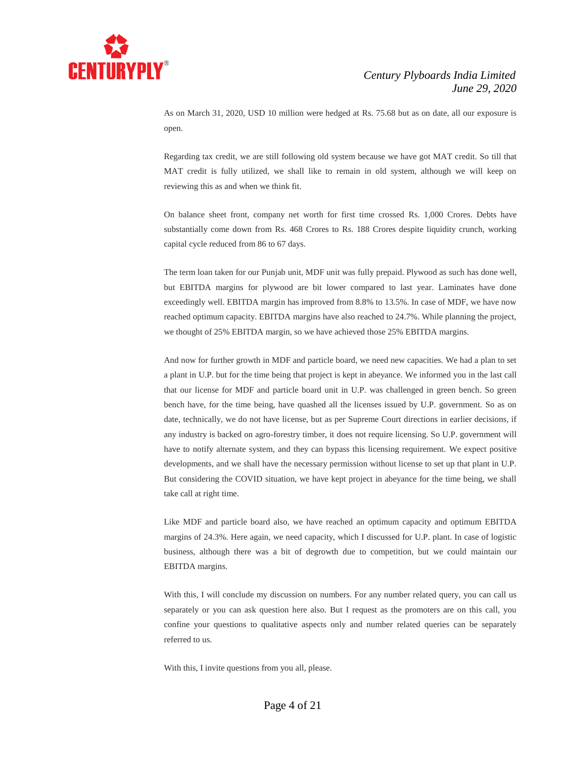

As on March 31, 2020, USD 10 million were hedged at Rs. 75.68 but as on date, all our exposure is open.

Regarding tax credit, we are still following old system because we have got MAT credit. So till that MAT credit is fully utilized, we shall like to remain in old system, although we will keep on reviewing this as and when we think fit.

On balance sheet front, company net worth for first time crossed Rs. 1,000 Crores. Debts have substantially come down from Rs. 468 Crores to Rs. 188 Crores despite liquidity crunch, working capital cycle reduced from 86 to 67 days.

The term loan taken for our Punjab unit, MDF unit was fully prepaid. Plywood as such has done well, but EBITDA margins for plywood are bit lower compared to last year. Laminates have done exceedingly well. EBITDA margin has improved from 8.8% to 13.5%. In case of MDF, we have now reached optimum capacity. EBITDA margins have also reached to 24.7%. While planning the project, we thought of 25% EBITDA margin, so we have achieved those 25% EBITDA margins.

And now for further growth in MDF and particle board, we need new capacities. We had a plan to set a plant in U.P. but for the time being that project is kept in abeyance. We informed you in the last call that our license for MDF and particle board unit in U.P. was challenged in green bench. So green bench have, for the time being, have quashed all the licenses issued by U.P. government. So as on date, technically, we do not have license, but as per Supreme Court directions in earlier decisions, if any industry is backed on agro-forestry timber, it does not require licensing. So U.P. government will have to notify alternate system, and they can bypass this licensing requirement. We expect positive developments, and we shall have the necessary permission without license to set up that plant in U.P. But considering the COVID situation, we have kept project in abeyance for the time being, we shall take call at right time.

Like MDF and particle board also, we have reached an optimum capacity and optimum EBITDA margins of 24.3%. Here again, we need capacity, which I discussed for U.P. plant. In case of logistic business, although there was a bit of degrowth due to competition, but we could maintain our EBITDA margins.

With this, I will conclude my discussion on numbers. For any number related query, you can call us separately or you can ask question here also. But I request as the promoters are on this call, you confine your questions to qualitative aspects only and number related queries can be separately referred to us.

With this, I invite questions from you all, please.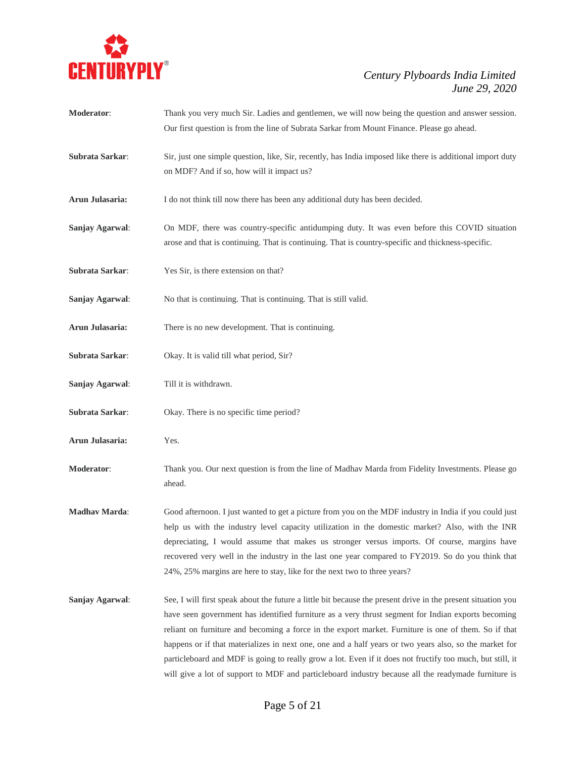

|                      | Our first question is from the line of Subrata Sarkar from Mount Finance. Please go ahead.                                                                                                                                                                                                                                                                                                                                                                                                                                                                                                                                                               |
|----------------------|----------------------------------------------------------------------------------------------------------------------------------------------------------------------------------------------------------------------------------------------------------------------------------------------------------------------------------------------------------------------------------------------------------------------------------------------------------------------------------------------------------------------------------------------------------------------------------------------------------------------------------------------------------|
| Subrata Sarkar:      | Sir, just one simple question, like, Sir, recently, has India imposed like there is additional import duty<br>on MDF? And if so, how will it impact us?                                                                                                                                                                                                                                                                                                                                                                                                                                                                                                  |
| Arun Julasaria:      | I do not think till now there has been any additional duty has been decided.                                                                                                                                                                                                                                                                                                                                                                                                                                                                                                                                                                             |
| Sanjay Agarwal:      | On MDF, there was country-specific antidumping duty. It was even before this COVID situation<br>arose and that is continuing. That is continuing. That is country-specific and thickness-specific.                                                                                                                                                                                                                                                                                                                                                                                                                                                       |
| Subrata Sarkar:      | Yes Sir, is there extension on that?                                                                                                                                                                                                                                                                                                                                                                                                                                                                                                                                                                                                                     |
| Sanjay Agarwal:      | No that is continuing. That is continuing. That is still valid.                                                                                                                                                                                                                                                                                                                                                                                                                                                                                                                                                                                          |
| Arun Julasaria:      | There is no new development. That is continuing.                                                                                                                                                                                                                                                                                                                                                                                                                                                                                                                                                                                                         |
| Subrata Sarkar:      | Okay. It is valid till what period, Sir?                                                                                                                                                                                                                                                                                                                                                                                                                                                                                                                                                                                                                 |
| Sanjay Agarwal:      | Till it is withdrawn.                                                                                                                                                                                                                                                                                                                                                                                                                                                                                                                                                                                                                                    |
| Subrata Sarkar:      | Okay. There is no specific time period?                                                                                                                                                                                                                                                                                                                                                                                                                                                                                                                                                                                                                  |
| Arun Julasaria:      | Yes.                                                                                                                                                                                                                                                                                                                                                                                                                                                                                                                                                                                                                                                     |
| Moderator:           | Thank you. Our next question is from the line of Madhav Marda from Fidelity Investments. Please go<br>ahead.                                                                                                                                                                                                                                                                                                                                                                                                                                                                                                                                             |
| <b>Madhav Marda:</b> | Good afternoon. I just wanted to get a picture from you on the MDF industry in India if you could just<br>help us with the industry level capacity utilization in the domestic market? Also, with the INR<br>depreciating, I would assume that makes us stronger versus imports. Of course, margins have<br>recovered very well in the industry in the last one year compared to FY2019. So do you think that<br>24%, 25% margins are here to stay, like for the next two to three years?                                                                                                                                                                |
| Sanjay Agarwal:      | See, I will first speak about the future a little bit because the present drive in the present situation you<br>have seen government has identified furniture as a very thrust segment for Indian exports becoming<br>reliant on furniture and becoming a force in the export market. Furniture is one of them. So if that<br>happens or if that materializes in next one, one and a half years or two years also, so the market for<br>particleboard and MDF is going to really grow a lot. Even if it does not fructify too much, but still, it<br>will give a lot of support to MDF and particleboard industry because all the readymade furniture is |

**Moderator**: Thank you very much Sir. Ladies and gentlemen, we will now being the question and answer session.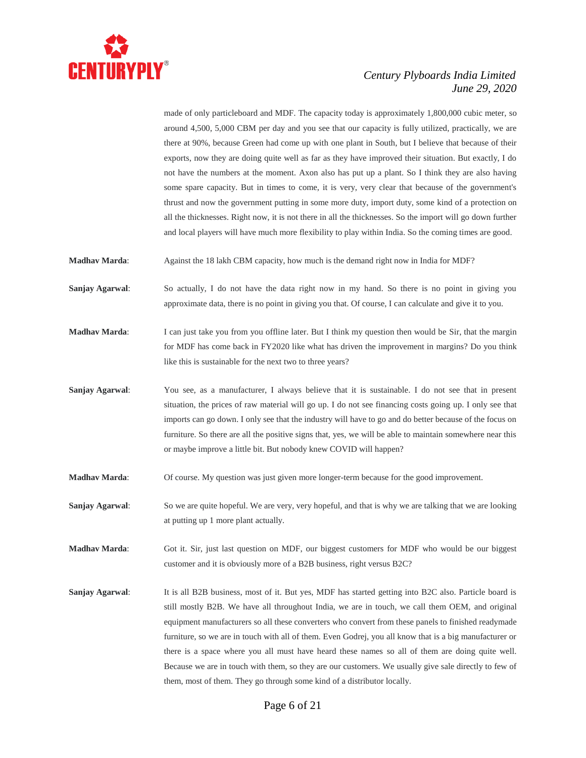

made of only particleboard and MDF. The capacity today is approximately 1,800,000 cubic meter, so around 4,500, 5,000 CBM per day and you see that our capacity is fully utilized, practically, we are there at 90%, because Green had come up with one plant in South, but I believe that because of their exports, now they are doing quite well as far as they have improved their situation. But exactly, I do not have the numbers at the moment. Axon also has put up a plant. So I think they are also having some spare capacity. But in times to come, it is very, very clear that because of the government's thrust and now the government putting in some more duty, import duty, some kind of a protection on all the thicknesses. Right now, it is not there in all the thicknesses. So the import will go down further and local players will have much more flexibility to play within India. So the coming times are good.

**Madhav Marda:** Against the 18 lakh CBM capacity, how much is the demand right now in India for MDF?

**Sanjay Agarwal:** So actually, I do not have the data right now in my hand. So there is no point in giving you approximate data, there is no point in giving you that. Of course, I can calculate and give it to you.

**Madhav Marda**: I can just take you from you offline later. But I think my question then would be Sir, that the margin for MDF has come back in FY2020 like what has driven the improvement in margins? Do you think like this is sustainable for the next two to three years?

**Sanjay Agarwal:** You see, as a manufacturer, I always believe that it is sustainable. I do not see that in present situation, the prices of raw material will go up. I do not see financing costs going up. I only see that imports can go down. I only see that the industry will have to go and do better because of the focus on furniture. So there are all the positive signs that, yes, we will be able to maintain somewhere near this or maybe improve a little bit. But nobody knew COVID will happen?

**Madhav Marda**: Of course. My question was just given more longer-term because for the good improvement.

**Sanjay Agarwal:** So we are quite hopeful. We are very, very hopeful, and that is why we are talking that we are looking at putting up 1 more plant actually.

**Madhav Marda:** Got it. Sir, just last question on MDF, our biggest customers for MDF who would be our biggest customer and it is obviously more of a B2B business, right versus B2C?

**Sanjay Agarwal**: It is all B2B business, most of it. But yes, MDF has started getting into B2C also. Particle board is still mostly B2B. We have all throughout India, we are in touch, we call them OEM, and original equipment manufacturers so all these converters who convert from these panels to finished readymade furniture, so we are in touch with all of them. Even Godrej, you all know that is a big manufacturer or there is a space where you all must have heard these names so all of them are doing quite well. Because we are in touch with them, so they are our customers. We usually give sale directly to few of them, most of them. They go through some kind of a distributor locally.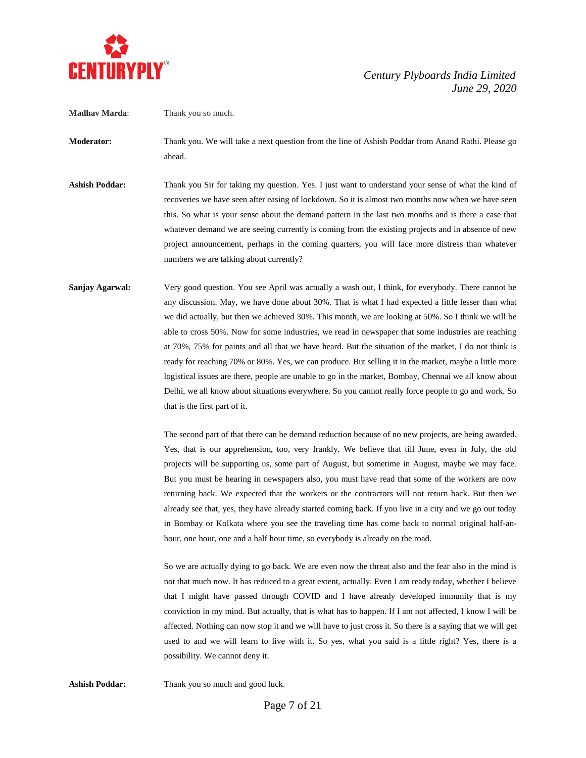

**Madhav Marda**: Thank you so much.

**Moderator:** Thank you. We will take a next question from the line of Ashish Poddar from Anand Rathi. Please go ahead.

- **Ashish Poddar:** Thank you Sir for taking my question. Yes. I just want to understand your sense of what the kind of recoveries we have seen after easing of lockdown. So it is almost two months now when we have seen this. So what is your sense about the demand pattern in the last two months and is there a case that whatever demand we are seeing currently is coming from the existing projects and in absence of new project announcement, perhaps in the coming quarters, you will face more distress than whatever numbers we are talking about currently?
- **Sanjay Agarwal:** Very good question. You see April was actually a wash out, I think, for everybody. There cannot be any discussion. May, we have done about 30%. That is what I had expected a little lesser than what we did actually, but then we achieved 30%. This month, we are looking at 50%. So I think we will be able to cross 50%. Now for some industries, we read in newspaper that some industries are reaching at 70%, 75% for paints and all that we have heard. But the situation of the market, I do not think is ready for reaching 70% or 80%. Yes, we can produce. But selling it in the market, maybe a little more logistical issues are there, people are unable to go in the market, Bombay, Chennai we all know about Delhi, we all know about situations everywhere. So you cannot really force people to go and work. So that is the first part of it.

The second part of that there can be demand reduction because of no new projects, are being awarded. Yes, that is our apprehension, too, very frankly. We believe that till June, even in July, the old projects will be supporting us, some part of August, but sometime in August, maybe we may face. But you must be hearing in newspapers also, you must have read that some of the workers are now returning back. We expected that the workers or the contractors will not return back. But then we already see that, yes, they have already started coming back. If you live in a city and we go out today in Bombay or Kolkata where you see the traveling time has come back to normal original half-anhour, one hour, one and a half hour time, so everybody is already on the road.

So we are actually dying to go back. We are even now the threat also and the fear also in the mind is not that much now. It has reduced to a great extent, actually. Even I am ready today, whether I believe that I might have passed through COVID and I have already developed immunity that is my conviction in my mind. But actually, that is what has to happen. If I am not affected, I know I will be affected. Nothing can now stop it and we will have to just cross it. So there is a saying that we will get used to and we will learn to live with it. So yes, what you said is a little right? Yes, there is a possibility. We cannot deny it.

Ashish Poddar: Thank you so much and good luck.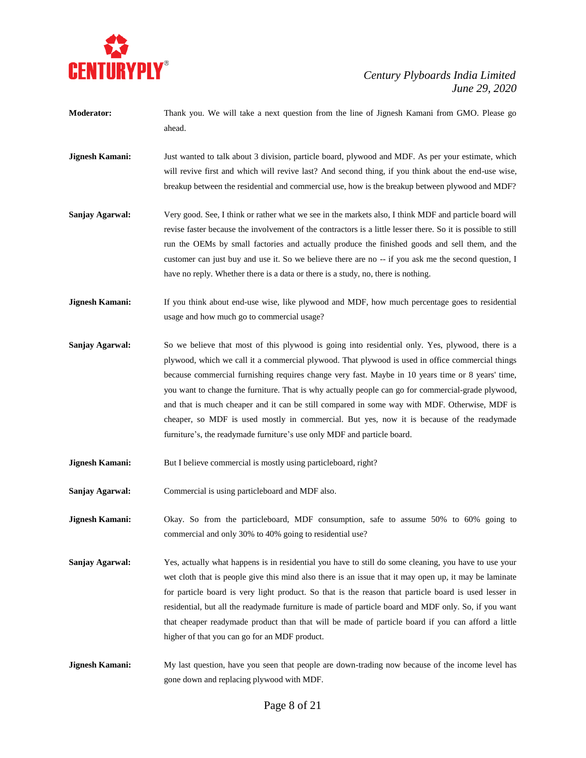

- **Moderator:** Thank you. We will take a next question from the line of Jignesh Kamani from GMO. Please go ahead.
- **Jignesh Kamani:** Just wanted to talk about 3 division, particle board, plywood and MDF. As per your estimate, which will revive first and which will revive last? And second thing, if you think about the end-use wise, breakup between the residential and commercial use, how is the breakup between plywood and MDF?
- **Sanjay Agarwal:** Very good. See, I think or rather what we see in the markets also, I think MDF and particle board will revise faster because the involvement of the contractors is a little lesser there. So it is possible to still run the OEMs by small factories and actually produce the finished goods and sell them, and the customer can just buy and use it. So we believe there are no -- if you ask me the second question, I have no reply. Whether there is a data or there is a study, no, there is nothing.
- **Jignesh Kamani:** If you think about end-use wise, like plywood and MDF, how much percentage goes to residential usage and how much go to commercial usage?
- **Sanjay Agarwal:** So we believe that most of this plywood is going into residential only. Yes, plywood, there is a plywood, which we call it a commercial plywood. That plywood is used in office commercial things because commercial furnishing requires change very fast. Maybe in 10 years time or 8 years' time, you want to change the furniture. That is why actually people can go for commercial-grade plywood, and that is much cheaper and it can be still compared in some way with MDF. Otherwise, MDF is cheaper, so MDF is used mostly in commercial. But yes, now it is because of the readymade furniture's, the readymade furniture's use only MDF and particle board.
- **Jignesh Kamani:** But I believe commercial is mostly using particleboard, right?
- **Sanjay Agarwal:** Commercial is using particleboard and MDF also.
- **Jignesh Kamani:** Okay. So from the particleboard, MDF consumption, safe to assume 50% to 60% going to commercial and only 30% to 40% going to residential use?
- **Sanjay Agarwal:** Yes, actually what happens is in residential you have to still do some cleaning, you have to use your wet cloth that is people give this mind also there is an issue that it may open up, it may be laminate for particle board is very light product. So that is the reason that particle board is used lesser in residential, but all the readymade furniture is made of particle board and MDF only. So, if you want that cheaper readymade product than that will be made of particle board if you can afford a little higher of that you can go for an MDF product.
- **Jignesh Kamani:** My last question, have you seen that people are down-trading now because of the income level has gone down and replacing plywood with MDF.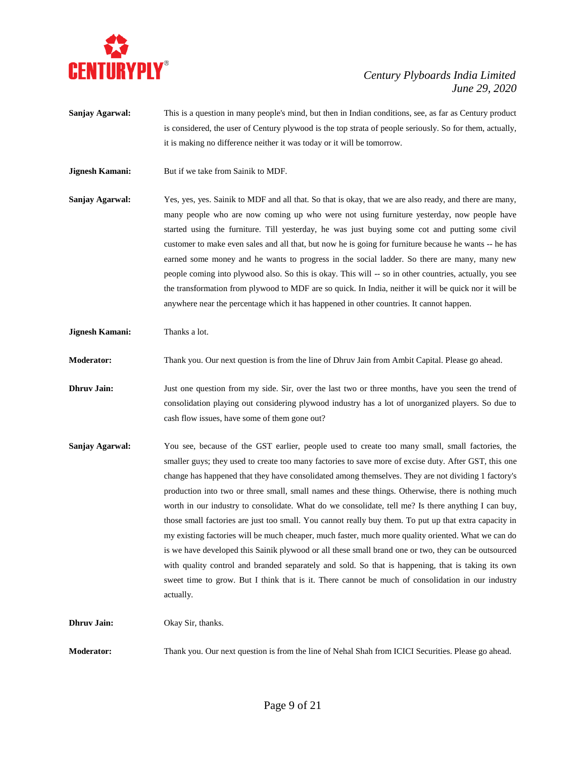

- **Sanjay Agarwal:** This is a question in many people's mind, but then in Indian conditions, see, as far as Century product is considered, the user of Century plywood is the top strata of people seriously. So for them, actually, it is making no difference neither it was today or it will be tomorrow.
- **Jignesh Kamani:** But if we take from Sainik to MDF.
- **Sanjay Agarwal:** Yes, yes, yes. Sainik to MDF and all that. So that is okay, that we are also ready, and there are many, many people who are now coming up who were not using furniture yesterday, now people have started using the furniture. Till yesterday, he was just buying some cot and putting some civil customer to make even sales and all that, but now he is going for furniture because he wants -- he has earned some money and he wants to progress in the social ladder. So there are many, many new people coming into plywood also. So this is okay. This will -- so in other countries, actually, you see the transformation from plywood to MDF are so quick. In India, neither it will be quick nor it will be anywhere near the percentage which it has happened in other countries. It cannot happen.

**Jignesh Kamani:** Thanks a lot.

**Moderator:** Thank you. Our next question is from the line of Dhruv Jain from Ambit Capital. Please go ahead.

- **Dhruv Jain:** Just one question from my side. Sir, over the last two or three months, have you seen the trend of consolidation playing out considering plywood industry has a lot of unorganized players. So due to cash flow issues, have some of them gone out?
- **Sanjay Agarwal:** You see, because of the GST earlier, people used to create too many small, small factories, the smaller guys; they used to create too many factories to save more of excise duty. After GST, this one change has happened that they have consolidated among themselves. They are not dividing 1 factory's production into two or three small, small names and these things. Otherwise, there is nothing much worth in our industry to consolidate. What do we consolidate, tell me? Is there anything I can buy, those small factories are just too small. You cannot really buy them. To put up that extra capacity in my existing factories will be much cheaper, much faster, much more quality oriented. What we can do is we have developed this Sainik plywood or all these small brand one or two, they can be outsourced with quality control and branded separately and sold. So that is happening, that is taking its own sweet time to grow. But I think that is it. There cannot be much of consolidation in our industry actually.

**Dhruv Jain:** Okay Sir, thanks.

**Moderator:** Thank you. Our next question is from the line of Nehal Shah from ICICI Securities. Please go ahead.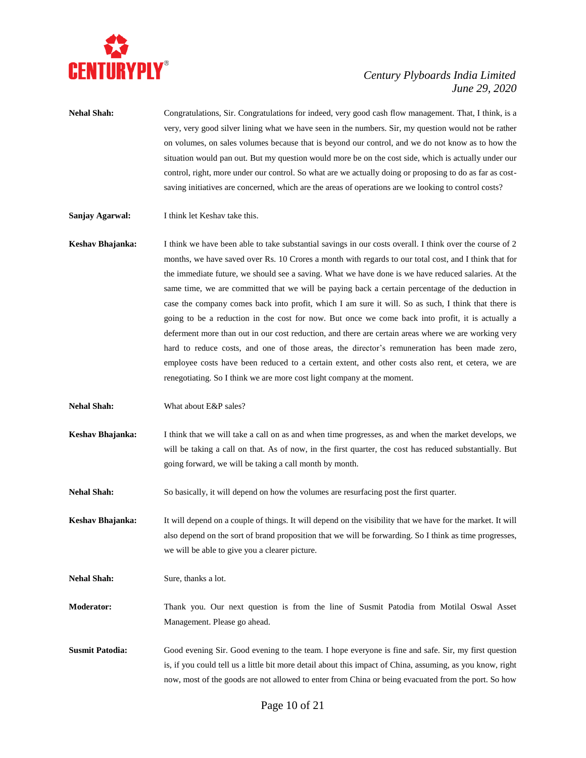

- **Nehal Shah:** Congratulations, Sir. Congratulations for indeed, very good cash flow management. That, I think, is a very, very good silver lining what we have seen in the numbers. Sir, my question would not be rather on volumes, on sales volumes because that is beyond our control, and we do not know as to how the situation would pan out. But my question would more be on the cost side, which is actually under our control, right, more under our control. So what are we actually doing or proposing to do as far as costsaving initiatives are concerned, which are the areas of operations are we looking to control costs?
- **Sanjay Agarwal:** I think let Keshav take this.
- **Keshav Bhajanka:** I think we have been able to take substantial savings in our costs overall. I think over the course of 2 months, we have saved over Rs. 10 Crores a month with regards to our total cost, and I think that for the immediate future, we should see a saving. What we have done is we have reduced salaries. At the same time, we are committed that we will be paying back a certain percentage of the deduction in case the company comes back into profit, which I am sure it will. So as such, I think that there is going to be a reduction in the cost for now. But once we come back into profit, it is actually a deferment more than out in our cost reduction, and there are certain areas where we are working very hard to reduce costs, and one of those areas, the director's remuneration has been made zero, employee costs have been reduced to a certain extent, and other costs also rent, et cetera, we are renegotiating. So I think we are more cost light company at the moment.
- **Nehal Shah:** What about E&P sales?
- **Keshav Bhajanka:** I think that we will take a call on as and when time progresses, as and when the market develops, we will be taking a call on that. As of now, in the first quarter, the cost has reduced substantially. But going forward, we will be taking a call month by month.

**Nehal Shah:** So basically, it will depend on how the volumes are resurfacing post the first quarter.

**Keshav Bhajanka:** It will depend on a couple of things. It will depend on the visibility that we have for the market. It will also depend on the sort of brand proposition that we will be forwarding. So I think as time progresses, we will be able to give you a clearer picture.

**Nehal Shah:** Sure, thanks a lot.

- **Moderator:** Thank you. Our next question is from the line of Susmit Patodia from Motilal Oswal Asset Management. Please go ahead.
- **Susmit Patodia:** Good evening Sir. Good evening to the team. I hope everyone is fine and safe. Sir, my first question is, if you could tell us a little bit more detail about this impact of China, assuming, as you know, right now, most of the goods are not allowed to enter from China or being evacuated from the port. So how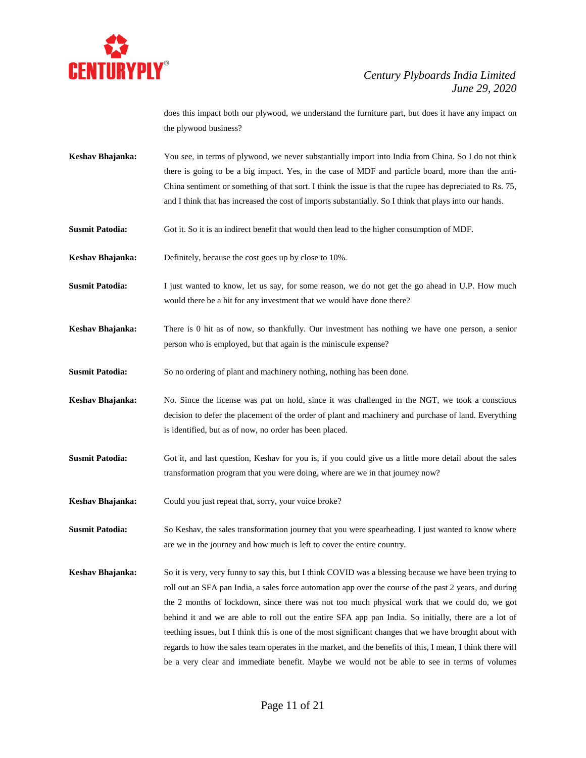

does this impact both our plywood, we understand the furniture part, but does it have any impact on the plywood business?

- **Keshav Bhajanka:** You see, in terms of plywood, we never substantially import into India from China. So I do not think there is going to be a big impact. Yes, in the case of MDF and particle board, more than the anti-China sentiment or something of that sort. I think the issue is that the rupee has depreciated to Rs. 75, and I think that has increased the cost of imports substantially. So I think that plays into our hands.
- **Susmit Patodia:** Got it. So it is an indirect benefit that would then lead to the higher consumption of MDF.
- **Keshav Bhajanka:** Definitely, because the cost goes up by close to 10%.
- **Susmit Patodia:** I just wanted to know, let us say, for some reason, we do not get the go ahead in U.P. How much would there be a hit for any investment that we would have done there?
- **Keshav Bhajanka:** There is 0 hit as of now, so thankfully. Our investment has nothing we have one person, a senior person who is employed, but that again is the miniscule expense?
- **Susmit Patodia:** So no ordering of plant and machinery nothing, nothing has been done.
- **Keshav Bhajanka:** No. Since the license was put on hold, since it was challenged in the NGT, we took a conscious decision to defer the placement of the order of plant and machinery and purchase of land. Everything is identified, but as of now, no order has been placed.
- **Susmit Patodia:** Got it, and last question, Keshav for you is, if you could give us a little more detail about the sales transformation program that you were doing, where are we in that journey now?
- **Keshav Bhajanka:** Could you just repeat that, sorry, your voice broke?
- **Susmit Patodia:** So Keshav, the sales transformation journey that you were spearheading. I just wanted to know where are we in the journey and how much is left to cover the entire country.
- **Keshav Bhajanka:** So it is very, very funny to say this, but I think COVID was a blessing because we have been trying to roll out an SFA pan India, a sales force automation app over the course of the past 2 years, and during the 2 months of lockdown, since there was not too much physical work that we could do, we got behind it and we are able to roll out the entire SFA app pan India. So initially, there are a lot of teething issues, but I think this is one of the most significant changes that we have brought about with regards to how the sales team operates in the market, and the benefits of this, I mean, I think there will be a very clear and immediate benefit. Maybe we would not be able to see in terms of volumes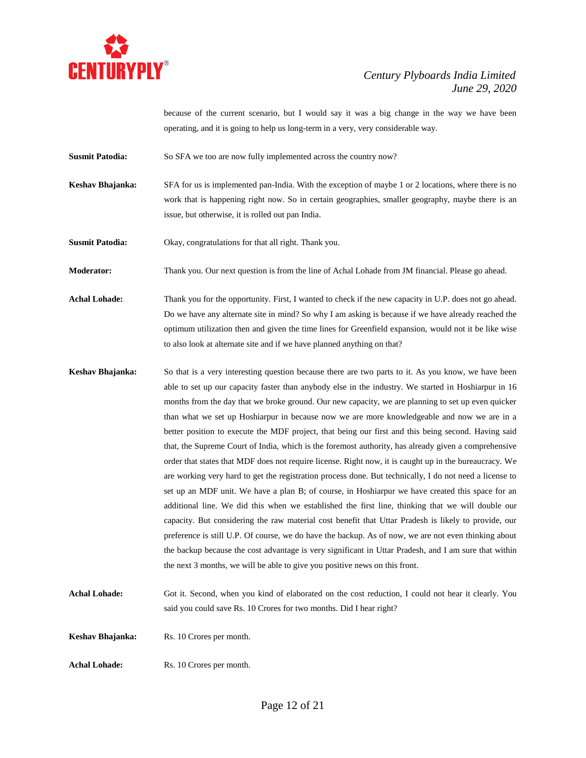

because of the current scenario, but I would say it was a big change in the way we have been operating, and it is going to help us long-term in a very, very considerable way.

**Susmit Patodia:** So SFA we too are now fully implemented across the country now?

**Keshav Bhajanka:** SFA for us is implemented pan-India. With the exception of maybe 1 or 2 locations, where there is no work that is happening right now. So in certain geographies, smaller geography, maybe there is an issue, but otherwise, it is rolled out pan India.

**Susmit Patodia:** Okay, congratulations for that all right. Thank you.

**Moderator:** Thank you. Our next question is from the line of Achal Lohade from JM financial. Please go ahead.

Achal Lohade: Thank you for the opportunity. First, I wanted to check if the new capacity in U.P. does not go ahead. Do we have any alternate site in mind? So why I am asking is because if we have already reached the optimum utilization then and given the time lines for Greenfield expansion, would not it be like wise to also look at alternate site and if we have planned anything on that?

- **Keshav Bhajanka:** So that is a very interesting question because there are two parts to it. As you know, we have been able to set up our capacity faster than anybody else in the industry. We started in Hoshiarpur in 16 months from the day that we broke ground. Our new capacity, we are planning to set up even quicker than what we set up Hoshiarpur in because now we are more knowledgeable and now we are in a better position to execute the MDF project, that being our first and this being second. Having said that, the Supreme Court of India, which is the foremost authority, has already given a comprehensive order that states that MDF does not require license. Right now, it is caught up in the bureaucracy. We are working very hard to get the registration process done. But technically, I do not need a license to set up an MDF unit. We have a plan B; of course, in Hoshiarpur we have created this space for an additional line. We did this when we established the first line, thinking that we will double our capacity. But considering the raw material cost benefit that Uttar Pradesh is likely to provide, our preference is still U.P. Of course, we do have the backup. As of now, we are not even thinking about the backup because the cost advantage is very significant in Uttar Pradesh, and I am sure that within the next 3 months, we will be able to give you positive news on this front.
- Achal Lohade: Got it. Second, when you kind of elaborated on the cost reduction, I could not hear it clearly. You said you could save Rs. 10 Crores for two months. Did I hear right?

**Keshav Bhajanka:** Rs. 10 Crores per month.

Achal Lohade: Rs. 10 Crores per month.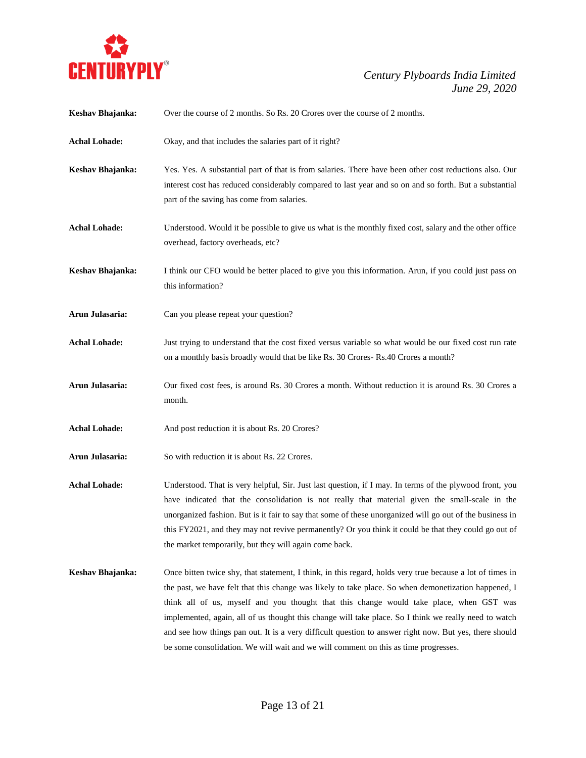

| Keshav Bhajanka:     | Over the course of 2 months. So Rs. 20 Crores over the course of 2 months.                                                                                                                                                                                                                                                                                                                                                                                                                                                                                                                                             |
|----------------------|------------------------------------------------------------------------------------------------------------------------------------------------------------------------------------------------------------------------------------------------------------------------------------------------------------------------------------------------------------------------------------------------------------------------------------------------------------------------------------------------------------------------------------------------------------------------------------------------------------------------|
| <b>Achal Lohade:</b> | Okay, and that includes the salaries part of it right?                                                                                                                                                                                                                                                                                                                                                                                                                                                                                                                                                                 |
| Keshav Bhajanka:     | Yes. Yes. A substantial part of that is from salaries. There have been other cost reductions also. Our<br>interest cost has reduced considerably compared to last year and so on and so forth. But a substantial<br>part of the saving has come from salaries.                                                                                                                                                                                                                                                                                                                                                         |
| <b>Achal Lohade:</b> | Understood. Would it be possible to give us what is the monthly fixed cost, salary and the other office<br>overhead, factory overheads, etc?                                                                                                                                                                                                                                                                                                                                                                                                                                                                           |
| Keshav Bhajanka:     | I think our CFO would be better placed to give you this information. Arun, if you could just pass on<br>this information?                                                                                                                                                                                                                                                                                                                                                                                                                                                                                              |
| Arun Julasaria:      | Can you please repeat your question?                                                                                                                                                                                                                                                                                                                                                                                                                                                                                                                                                                                   |
| <b>Achal Lohade:</b> | Just trying to understand that the cost fixed versus variable so what would be our fixed cost run rate<br>on a monthly basis broadly would that be like Rs. 30 Crores-Rs. 40 Crores a month?                                                                                                                                                                                                                                                                                                                                                                                                                           |
| Arun Julasaria:      | Our fixed cost fees, is around Rs. 30 Crores a month. Without reduction it is around Rs. 30 Crores a<br>month.                                                                                                                                                                                                                                                                                                                                                                                                                                                                                                         |
| <b>Achal Lohade:</b> | And post reduction it is about Rs. 20 Crores?                                                                                                                                                                                                                                                                                                                                                                                                                                                                                                                                                                          |
| Arun Julasaria:      | So with reduction it is about Rs. 22 Crores.                                                                                                                                                                                                                                                                                                                                                                                                                                                                                                                                                                           |
| <b>Achal Lohade:</b> | Understood. That is very helpful, Sir. Just last question, if I may. In terms of the plywood front, you<br>have indicated that the consolidation is not really that material given the small-scale in the<br>unorganized fashion. But is it fair to say that some of these unorganized will go out of the business in<br>this FY2021, and they may not revive permanently? Or you think it could be that they could go out of<br>the market temporarily, but they will again come back.                                                                                                                                |
| Keshav Bhajanka:     | Once bitten twice shy, that statement, I think, in this regard, holds very true because a lot of times in<br>the past, we have felt that this change was likely to take place. So when demonetization happened, I<br>think all of us, myself and you thought that this change would take place, when GST was<br>implemented, again, all of us thought this change will take place. So I think we really need to watch<br>and see how things pan out. It is a very difficult question to answer right now. But yes, there should<br>be some consolidation. We will wait and we will comment on this as time progresses. |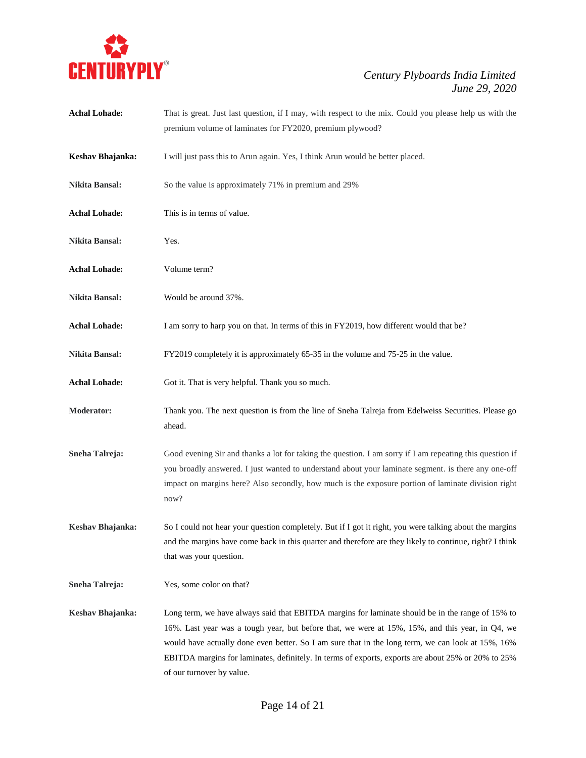

| <b>Achal Lohade:</b>  | That is great. Just last question, if I may, with respect to the mix. Could you please help us with the<br>premium volume of laminates for FY2020, premium plywood?                                                                                                                                                                                                                                                                         |
|-----------------------|---------------------------------------------------------------------------------------------------------------------------------------------------------------------------------------------------------------------------------------------------------------------------------------------------------------------------------------------------------------------------------------------------------------------------------------------|
| Keshav Bhajanka:      | I will just pass this to Arun again. Yes, I think Arun would be better placed.                                                                                                                                                                                                                                                                                                                                                              |
| Nikita Bansal:        | So the value is approximately 71% in premium and 29%                                                                                                                                                                                                                                                                                                                                                                                        |
| <b>Achal Lohade:</b>  | This is in terms of value.                                                                                                                                                                                                                                                                                                                                                                                                                  |
| Nikita Bansal:        | Yes.                                                                                                                                                                                                                                                                                                                                                                                                                                        |
| <b>Achal Lohade:</b>  | Volume term?                                                                                                                                                                                                                                                                                                                                                                                                                                |
| Nikita Bansal:        | Would be around 37%.                                                                                                                                                                                                                                                                                                                                                                                                                        |
| <b>Achal Lohade:</b>  | I am sorry to harp you on that. In terms of this in FY2019, how different would that be?                                                                                                                                                                                                                                                                                                                                                    |
| Nikita Bansal:        | FY2019 completely it is approximately 65-35 in the volume and 75-25 in the value.                                                                                                                                                                                                                                                                                                                                                           |
| <b>Achal Lohade:</b>  | Got it. That is very helpful. Thank you so much.                                                                                                                                                                                                                                                                                                                                                                                            |
| <b>Moderator:</b>     | Thank you. The next question is from the line of Sneha Talreja from Edelweiss Securities. Please go<br>ahead.                                                                                                                                                                                                                                                                                                                               |
| <b>Sneha Talreja:</b> | Good evening Sir and thanks a lot for taking the question. I am sorry if I am repeating this question if<br>you broadly answered. I just wanted to understand about your laminate segment. is there any one-off<br>impact on margins here? Also secondly, how much is the exposure portion of laminate division right<br>now?                                                                                                               |
| Keshav Bhajanka:      | So I could not hear your question completely. But if I got it right, you were talking about the margins<br>and the margins have come back in this quarter and therefore are they likely to continue, right? I think<br>that was your question.                                                                                                                                                                                              |
| Sneha Talreja:        | Yes, some color on that?                                                                                                                                                                                                                                                                                                                                                                                                                    |
| Keshav Bhajanka:      | Long term, we have always said that EBITDA margins for laminate should be in the range of 15% to<br>16%. Last year was a tough year, but before that, we were at 15%, 15%, and this year, in Q4, we<br>would have actually done even better. So I am sure that in the long term, we can look at 15%, 16%<br>EBITDA margins for laminates, definitely. In terms of exports, exports are about 25% or 20% to 25%<br>of our turnover by value. |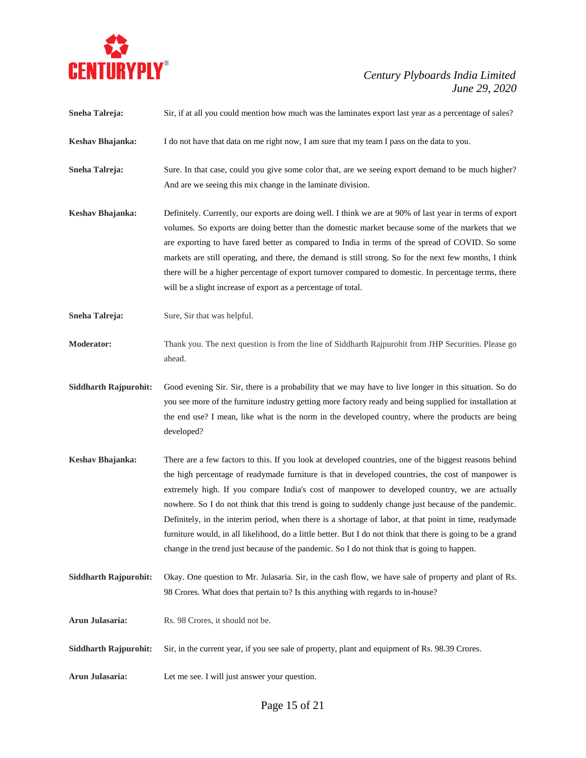

- **Sneha Talreja:** Sir, if at all you could mention how much was the laminates export last year as a percentage of sales?
- **Keshav Bhajanka:** I do not have that data on me right now, I am sure that my team I pass on the data to you.
- **Sneha Talreja:** Sure. In that case, could you give some color that, are we seeing export demand to be much higher? And are we seeing this mix change in the laminate division.
- **Keshav Bhajanka:** Definitely. Currently, our exports are doing well. I think we are at 90% of last year in terms of export volumes. So exports are doing better than the domestic market because some of the markets that we are exporting to have fared better as compared to India in terms of the spread of COVID. So some markets are still operating, and there, the demand is still strong. So for the next few months, I think there will be a higher percentage of export turnover compared to domestic. In percentage terms, there will be a slight increase of export as a percentage of total.
- **Sneha Talreja:** Sure, Sir that was helpful.
- **Moderator:** Thank you. The next question is from the line of Siddharth Rajpurohit from JHP Securities. Please go ahead.
- **Siddharth Rajpurohit:** Good evening Sir. Sir, there is a probability that we may have to live longer in this situation. So do you see more of the furniture industry getting more factory ready and being supplied for installation at the end use? I mean, like what is the norm in the developed country, where the products are being developed?
- **Keshav Bhajanka:** There are a few factors to this. If you look at developed countries, one of the biggest reasons behind the high percentage of readymade furniture is that in developed countries, the cost of manpower is extremely high. If you compare India's cost of manpower to developed country, we are actually nowhere. So I do not think that this trend is going to suddenly change just because of the pandemic. Definitely, in the interim period, when there is a shortage of labor, at that point in time, readymade furniture would, in all likelihood, do a little better. But I do not think that there is going to be a grand change in the trend just because of the pandemic. So I do not think that is going to happen.
- **Siddharth Rajpurohit:** Okay. One question to Mr. Julasaria. Sir, in the cash flow, we have sale of property and plant of Rs. 98 Crores. What does that pertain to? Is this anything with regards to in-house?
- **Arun Julasaria:** Rs. 98 Crores, it should not be.
- **Siddharth Rajpurohit:** Sir, in the current year, if you see sale of property, plant and equipment of Rs. 98.39 Crores.
- **Arun Julasaria:** Let me see. I will just answer your question.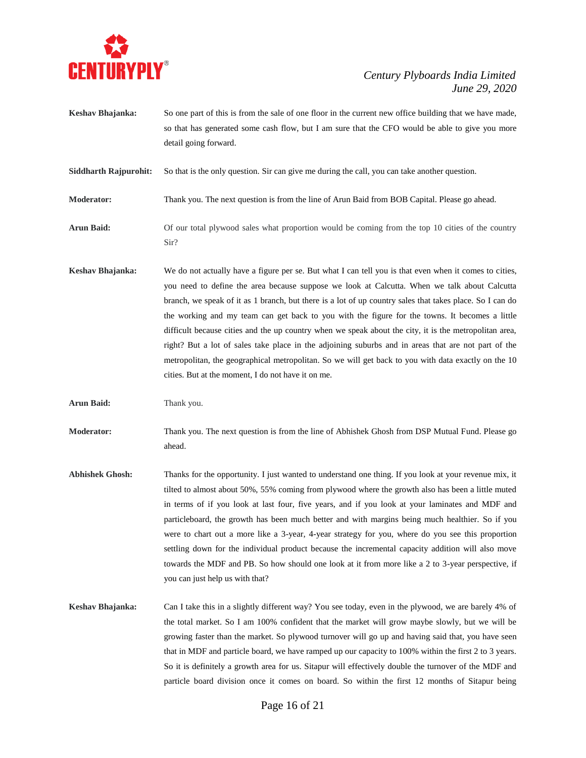

**Keshav Bhajanka:** So one part of this is from the sale of one floor in the current new office building that we have made, so that has generated some cash flow, but I am sure that the CFO would be able to give you more detail going forward.

**Siddharth Rajpurohit:** So that is the only question. Sir can give me during the call, you can take another question.

**Moderator:** Thank you. The next question is from the line of Arun Baid from BOB Capital. Please go ahead.

- **Arun Baid:** Of our total plywood sales what proportion would be coming from the top 10 cities of the country Sir?
- **Keshav Bhajanka:** We do not actually have a figure per se. But what I can tell you is that even when it comes to cities, you need to define the area because suppose we look at Calcutta. When we talk about Calcutta branch, we speak of it as 1 branch, but there is a lot of up country sales that takes place. So I can do the working and my team can get back to you with the figure for the towns. It becomes a little difficult because cities and the up country when we speak about the city, it is the metropolitan area, right? But a lot of sales take place in the adjoining suburbs and in areas that are not part of the metropolitan, the geographical metropolitan. So we will get back to you with data exactly on the 10 cities. But at the moment, I do not have it on me.

**Arun Baid:** Thank you.

**Moderator:** Thank you. The next question is from the line of Abhishek Ghosh from DSP Mutual Fund. Please go ahead.

- **Abhishek Ghosh:** Thanks for the opportunity. I just wanted to understand one thing. If you look at your revenue mix, it tilted to almost about 50%, 55% coming from plywood where the growth also has been a little muted in terms of if you look at last four, five years, and if you look at your laminates and MDF and particleboard, the growth has been much better and with margins being much healthier. So if you were to chart out a more like a 3-year, 4-year strategy for you, where do you see this proportion settling down for the individual product because the incremental capacity addition will also move towards the MDF and PB. So how should one look at it from more like a 2 to 3-year perspective, if you can just help us with that?
- **Keshav Bhajanka:** Can I take this in a slightly different way? You see today, even in the plywood, we are barely 4% of the total market. So I am 100% confident that the market will grow maybe slowly, but we will be growing faster than the market. So plywood turnover will go up and having said that, you have seen that in MDF and particle board, we have ramped up our capacity to 100% within the first 2 to 3 years. So it is definitely a growth area for us. Sitapur will effectively double the turnover of the MDF and particle board division once it comes on board. So within the first 12 months of Sitapur being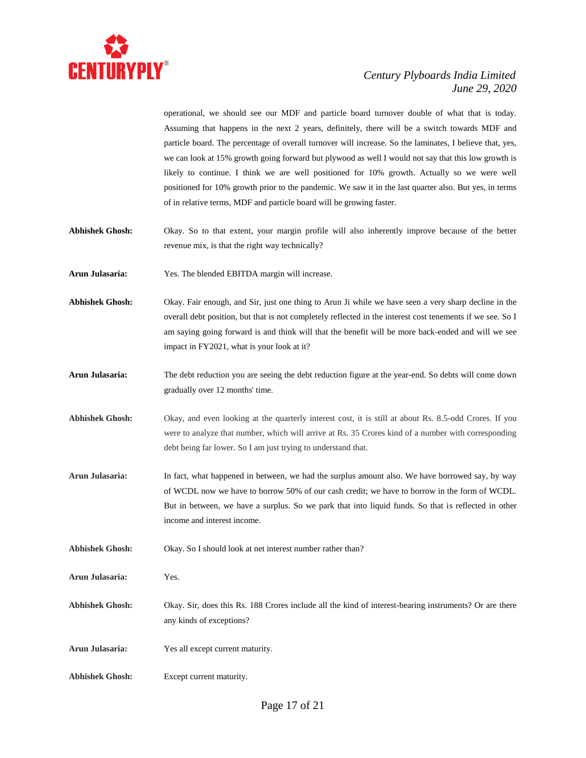

operational, we should see our MDF and particle board turnover double of what that is today. Assuming that happens in the next 2 years, definitely, there will be a switch towards MDF and particle board. The percentage of overall turnover will increase. So the laminates, I believe that, yes, we can look at 15% growth going forward but plywood as well I would not say that this low growth is likely to continue. I think we are well positioned for 10% growth. Actually so we were well positioned for 10% growth prior to the pandemic. We saw it in the last quarter also. But yes, in terms of in relative terms, MDF and particle board will be growing faster.

- **Abhishek Ghosh:** Okay. So to that extent, your margin profile will also inherently improve because of the better revenue mix, is that the right way technically?
- **Arun Julasaria:** Yes. The blended EBITDA margin will increase.
- **Abhishek Ghosh:** Okay. Fair enough, and Sir, just one thing to Arun Ji while we have seen a very sharp decline in the overall debt position, but that is not completely reflected in the interest cost tenements if we see. So I am saying going forward is and think will that the benefit will be more back-ended and will we see impact in FY2021, what is your look at it?
- **Arun Julasaria:** The debt reduction you are seeing the debt reduction figure at the year-end. So debts will come down gradually over 12 months' time.
- **Abhishek Ghosh:** Okay, and even looking at the quarterly interest cost, it is still at about Rs. 8.5-odd Crores. If you were to analyze that number, which will arrive at Rs. 35 Crores kind of a number with corresponding debt being far lower. So I am just trying to understand that.
- **Arun Julasaria:** In fact, what happened in between, we had the surplus amount also. We have borrowed say, by way of WCDL now we have to borrow 50% of our cash credit; we have to borrow in the form of WCDL. But in between, we have a surplus. So we park that into liquid funds. So that is reflected in other income and interest income.
- **Abhishek Ghosh:** Okay. So I should look at net interest number rather than?

**Arun Julasaria:** Yes.

- **Abhishek Ghosh:** Okay. Sir, does this Rs. 188 Crores include all the kind of interest-bearing instruments? Or are there any kinds of exceptions?
- **Arun Julasaria:** Yes all except current maturity.
- **Abhishek Ghosh:** Except current maturity.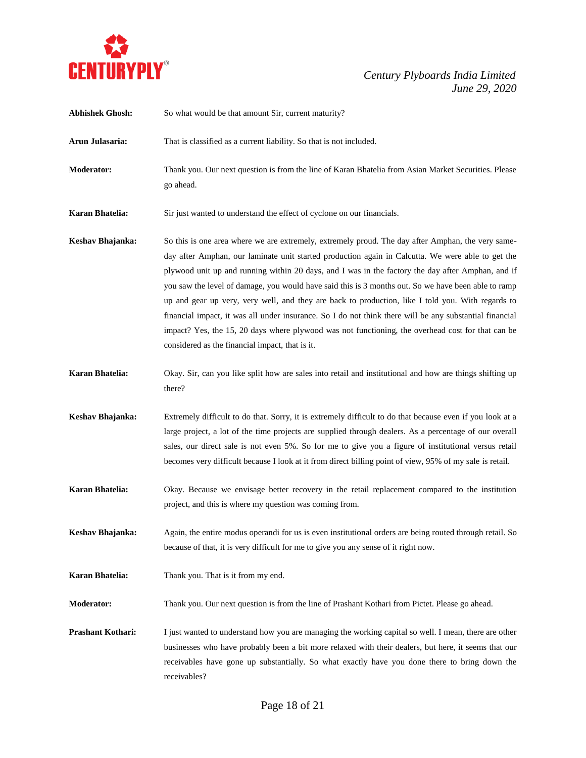

| <b>Abhishek Ghosh:</b> | So what would be that amount Sir, current maturity?                                                                                                                                                                                                                                                                                                                                                                                                                                                                                                                                                                                                                                                                                                                                        |
|------------------------|--------------------------------------------------------------------------------------------------------------------------------------------------------------------------------------------------------------------------------------------------------------------------------------------------------------------------------------------------------------------------------------------------------------------------------------------------------------------------------------------------------------------------------------------------------------------------------------------------------------------------------------------------------------------------------------------------------------------------------------------------------------------------------------------|
| Arun Julasaria:        | That is classified as a current liability. So that is not included.                                                                                                                                                                                                                                                                                                                                                                                                                                                                                                                                                                                                                                                                                                                        |
| <b>Moderator:</b>      | Thank you. Our next question is from the line of Karan Bhatelia from Asian Market Securities. Please<br>go ahead.                                                                                                                                                                                                                                                                                                                                                                                                                                                                                                                                                                                                                                                                          |
| Karan Bhatelia:        | Sir just wanted to understand the effect of cyclone on our financials.                                                                                                                                                                                                                                                                                                                                                                                                                                                                                                                                                                                                                                                                                                                     |
| Keshav Bhajanka:       | So this is one area where we are extremely, extremely proud. The day after Amphan, the very same-<br>day after Amphan, our laminate unit started production again in Calcutta. We were able to get the<br>plywood unit up and running within 20 days, and I was in the factory the day after Amphan, and if<br>you saw the level of damage, you would have said this is 3 months out. So we have been able to ramp<br>up and gear up very, very well, and they are back to production, like I told you. With regards to<br>financial impact, it was all under insurance. So I do not think there will be any substantial financial<br>impact? Yes, the 15, 20 days where plywood was not functioning, the overhead cost for that can be<br>considered as the financial impact, that is it. |
| <b>Karan Bhatelia:</b> | Okay. Sir, can you like split how are sales into retail and institutional and how are things shifting up<br>there?                                                                                                                                                                                                                                                                                                                                                                                                                                                                                                                                                                                                                                                                         |
| Keshav Bhajanka:       | Extremely difficult to do that. Sorry, it is extremely difficult to do that because even if you look at a<br>large project, a lot of the time projects are supplied through dealers. As a percentage of our overall<br>sales, our direct sale is not even 5%. So for me to give you a figure of institutional versus retail<br>becomes very difficult because I look at it from direct billing point of view, 95% of my sale is retail.                                                                                                                                                                                                                                                                                                                                                    |
| <b>Karan Bhatelia:</b> | Okay. Because we envisage better recovery in the retail replacement compared to the institution<br>project, and this is where my question was coming from.                                                                                                                                                                                                                                                                                                                                                                                                                                                                                                                                                                                                                                 |
| Keshav Bhajanka:       | Again, the entire modus operandi for us is even institutional orders are being routed through retail. So<br>because of that, it is very difficult for me to give you any sense of it right now.                                                                                                                                                                                                                                                                                                                                                                                                                                                                                                                                                                                            |
| <b>Karan Bhatelia:</b> | Thank you. That is it from my end.                                                                                                                                                                                                                                                                                                                                                                                                                                                                                                                                                                                                                                                                                                                                                         |
| <b>Moderator:</b>      | Thank you. Our next question is from the line of Prashant Kothari from Pictet. Please go ahead.                                                                                                                                                                                                                                                                                                                                                                                                                                                                                                                                                                                                                                                                                            |
| Prashant Kothari:      | I just wanted to understand how you are managing the working capital so well. I mean, there are other<br>businesses who have probably been a bit more relaxed with their dealers, but here, it seems that our<br>receivables have gone up substantially. So what exactly have you done there to bring down the<br>receivables?                                                                                                                                                                                                                                                                                                                                                                                                                                                             |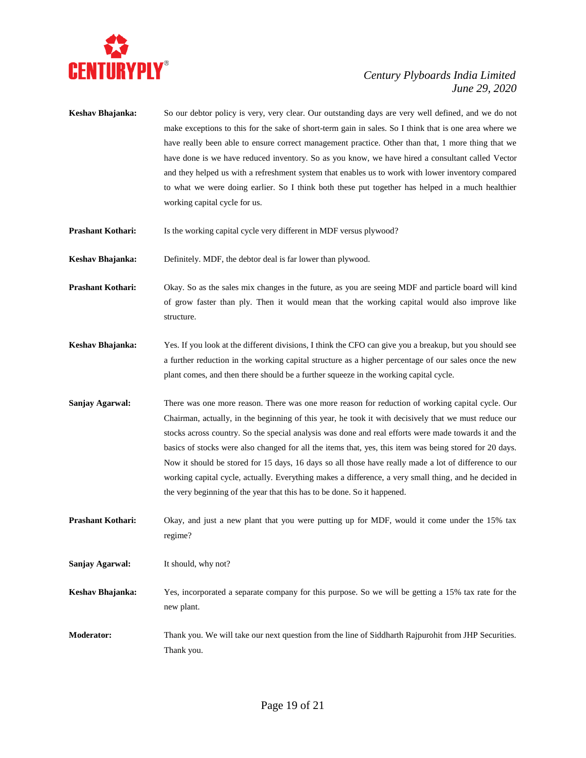

- **Keshav Bhajanka:** So our debtor policy is very, very clear. Our outstanding days are very well defined, and we do not make exceptions to this for the sake of short-term gain in sales. So I think that is one area where we have really been able to ensure correct management practice. Other than that, 1 more thing that we have done is we have reduced inventory. So as you know, we have hired a consultant called Vector and they helped us with a refreshment system that enables us to work with lower inventory compared to what we were doing earlier. So I think both these put together has helped in a much healthier working capital cycle for us.
- **Prashant Kothari:** Is the working capital cycle very different in MDF versus plywood?

**Keshav Bhajanka:** Definitely. MDF, the debtor deal is far lower than plywood.

- **Prashant Kothari:** Okay. So as the sales mix changes in the future, as you are seeing MDF and particle board will kind of grow faster than ply. Then it would mean that the working capital would also improve like structure.
- **Keshav Bhajanka:** Yes. If you look at the different divisions, I think the CFO can give you a breakup, but you should see a further reduction in the working capital structure as a higher percentage of our sales once the new plant comes, and then there should be a further squeeze in the working capital cycle.
- **Sanjay Agarwal:** There was one more reason. There was one more reason for reduction of working capital cycle. Our Chairman, actually, in the beginning of this year, he took it with decisively that we must reduce our stocks across country. So the special analysis was done and real efforts were made towards it and the basics of stocks were also changed for all the items that, yes, this item was being stored for 20 days. Now it should be stored for 15 days, 16 days so all those have really made a lot of difference to our working capital cycle, actually. Everything makes a difference, a very small thing, and he decided in the very beginning of the year that this has to be done. So it happened.
- **Prashant Kothari:** Okay, and just a new plant that you were putting up for MDF, would it come under the 15% tax regime?
- **Sanjay Agarwal:** It should, why not?
- **Keshav Bhajanka:** Yes, incorporated a separate company for this purpose. So we will be getting a 15% tax rate for the new plant.
- **Moderator:** Thank you. We will take our next question from the line of Siddharth Rajpurohit from JHP Securities. Thank you.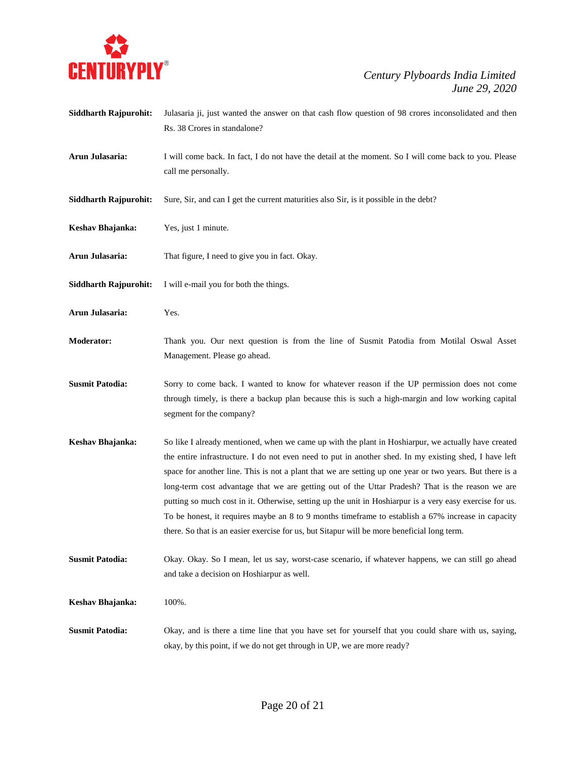

Rs. 38 Crores in standalone? **Arun Julasaria:** I will come back. In fact, I do not have the detail at the moment. So I will come back to you. Please call me personally. **Siddharth Rajpurohit:** Sure, Sir, and can I get the current maturities also Sir, is it possible in the debt? **Keshav Bhajanka:** Yes, just 1 minute. **Arun Julasaria:** That figure, I need to give you in fact. Okay. **Siddharth Rajpurohit:** I will e-mail you for both the things. **Arun Julasaria:** Yes. **Moderator:** Thank you. Our next question is from the line of Susmit Patodia from Motilal Oswal Asset Management. Please go ahead. **Susmit Patodia:** Sorry to come back. I wanted to know for whatever reason if the UP permission does not come through timely, is there a backup plan because this is such a high-margin and low working capital segment for the company? **Keshav Bhajanka:** So like I already mentioned, when we came up with the plant in Hoshiarpur, we actually have created the entire infrastructure. I do not even need to put in another shed. In my existing shed, I have left space for another line. This is not a plant that we are setting up one year or two years. But there is a long-term cost advantage that we are getting out of the Uttar Pradesh? That is the reason we are putting so much cost in it. Otherwise, setting up the unit in Hoshiarpur is a very easy exercise for us. To be honest, it requires maybe an 8 to 9 months timeframe to establish a 67% increase in capacity there. So that is an easier exercise for us, but Sitapur will be more beneficial long term. **Susmit Patodia:** Okay. Okay. So I mean, let us say, worst-case scenario, if whatever happens, we can still go ahead and take a decision on Hoshiarpur as well. **Keshav Bhajanka:** 100%. **Susmit Patodia:** Okay, and is there a time line that you have set for yourself that you could share with us, saying, okay, by this point, if we do not get through in UP, we are more ready?

**Siddharth Rajpurohit:** Julasaria ji, just wanted the answer on that cash flow question of 98 crores inconsolidated and then